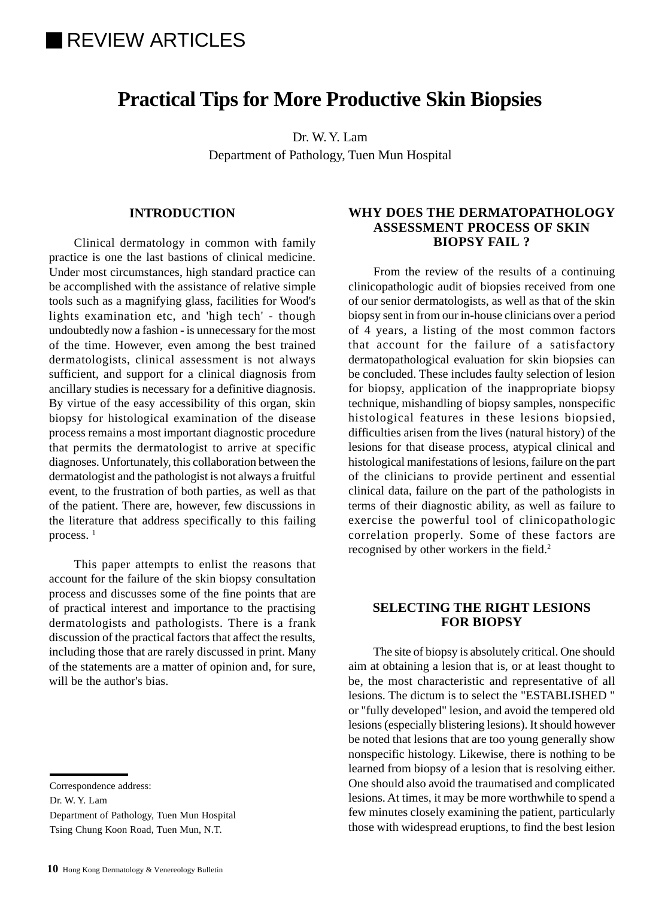# **REVIEW ARTICLES**

## **Practical Tips for More Productive Skin Biopsies**

Dr. W. Y. Lam Department of Pathology, Tuen Mun Hospital

#### **INTRODUCTION**

Clinical dermatology in common with family practice is one the last bastions of clinical medicine. Under most circumstances, high standard practice can be accomplished with the assistance of relative simple tools such as a magnifying glass, facilities for Wood's lights examination etc, and 'high tech' - though undoubtedly now a fashion - is unnecessary for the most of the time. However, even among the best trained dermatologists, clinical assessment is not always sufficient, and support for a clinical diagnosis from ancillary studies is necessary for a definitive diagnosis. By virtue of the easy accessibility of this organ, skin biopsy for histological examination of the disease process remains a most important diagnostic procedure that permits the dermatologist to arrive at specific diagnoses. Unfortunately, this collaboration between the dermatologist and the pathologist is not always a fruitful event, to the frustration of both parties, as well as that of the patient. There are, however, few discussions in the literature that address specifically to this failing process.<sup>1</sup>

This paper attempts to enlist the reasons that account for the failure of the skin biopsy consultation process and discusses some of the fine points that are of practical interest and importance to the practising dermatologists and pathologists. There is a frank discussion of the practical factors that affect the results, including those that are rarely discussed in print. Many of the statements are a matter of opinion and, for sure, will be the author's bias.

Dr. W. Y. Lam

Department of Pathology, Tuen Mun Hospital Tsing Chung Koon Road, Tuen Mun, N.T.

#### **WHY DOES THE DERMATOPATHOLOGY ASSESSMENT PROCESS OF SKIN BIOPSY FAIL ?**

From the review of the results of a continuing clinicopathologic audit of biopsies received from one of our senior dermatologists, as well as that of the skin biopsy sent in from our in-house clinicians over a period of 4 years, a listing of the most common factors that account for the failure of a satisfactory dermatopathological evaluation for skin biopsies can be concluded. These includes faulty selection of lesion for biopsy, application of the inappropriate biopsy technique, mishandling of biopsy samples, nonspecific histological features in these lesions biopsied, difficulties arisen from the lives (natural history) of the lesions for that disease process, atypical clinical and histological manifestations of lesions, failure on the part of the clinicians to provide pertinent and essential clinical data, failure on the part of the pathologists in terms of their diagnostic ability, as well as failure to exercise the powerful tool of clinicopathologic correlation properly. Some of these factors are recognised by other workers in the field.<sup>2</sup>

#### **SELECTING THE RIGHT LESIONS FOR BIOPSY**

The site of biopsy is absolutely critical. One should aim at obtaining a lesion that is, or at least thought to be, the most characteristic and representative of all lesions. The dictum is to select the "ESTABLISHED " or "fully developed" lesion, and avoid the tempered old lesions (especially blistering lesions). It should however be noted that lesions that are too young generally show nonspecific histology. Likewise, there is nothing to be learned from biopsy of a lesion that is resolving either. One should also avoid the traumatised and complicated lesions. At times, it may be more worthwhile to spend a few minutes closely examining the patient, particularly those with widespread eruptions, to find the best lesion

Correspondence address: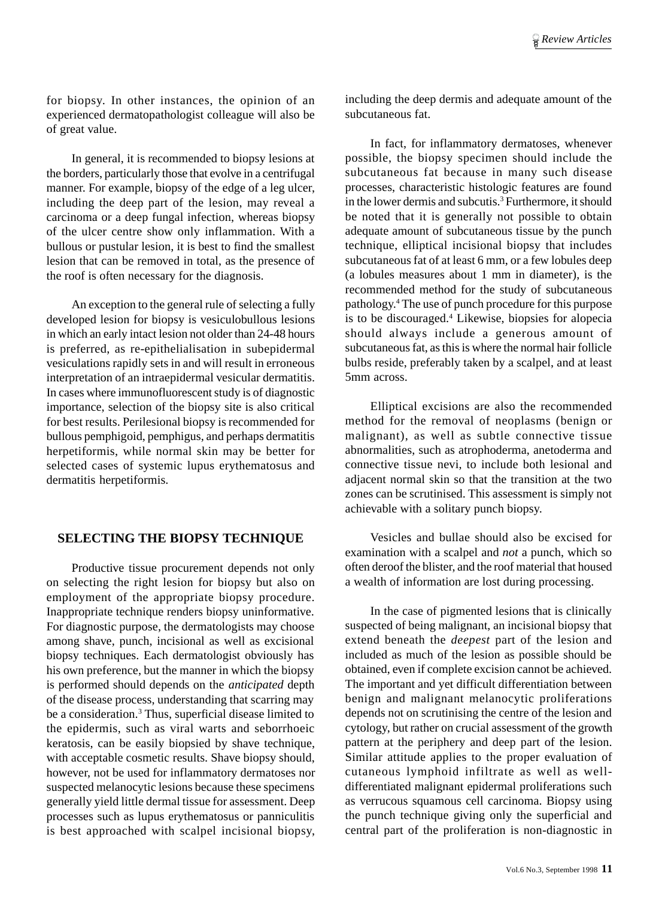for biopsy. In other instances, the opinion of an experienced dermatopathologist colleague will also be of great value.

In general, it is recommended to biopsy lesions at the borders, particularly those that evolve in a centrifugal manner. For example, biopsy of the edge of a leg ulcer, including the deep part of the lesion, may reveal a carcinoma or a deep fungal infection, whereas biopsy of the ulcer centre show only inflammation. With a bullous or pustular lesion, it is best to find the smallest lesion that can be removed in total, as the presence of the roof is often necessary for the diagnosis.

An exception to the general rule of selecting a fully developed lesion for biopsy is vesiculobullous lesions in which an early intact lesion not older than 24-48 hours is preferred, as re-epithelialisation in subepidermal vesiculations rapidly sets in and will result in erroneous interpretation of an intraepidermal vesicular dermatitis. In cases where immunofluorescent study is of diagnostic importance, selection of the biopsy site is also critical for best results. Perilesional biopsy is recommended for bullous pemphigoid, pemphigus, and perhaps dermatitis herpetiformis, while normal skin may be better for selected cases of systemic lupus erythematosus and dermatitis herpetiformis.

#### **SELECTING THE BIOPSY TECHNIQUE**

Productive tissue procurement depends not only on selecting the right lesion for biopsy but also on employment of the appropriate biopsy procedure. Inappropriate technique renders biopsy uninformative. For diagnostic purpose, the dermatologists may choose among shave, punch, incisional as well as excisional biopsy techniques. Each dermatologist obviously has his own preference, but the manner in which the biopsy is performed should depends on the *anticipated* depth of the disease process, understanding that scarring may be a consideration.<sup>3</sup> Thus, superficial disease limited to the epidermis, such as viral warts and seborrhoeic keratosis, can be easily biopsied by shave technique, with acceptable cosmetic results. Shave biopsy should, however, not be used for inflammatory dermatoses nor suspected melanocytic lesions because these specimens generally yield little dermal tissue for assessment. Deep processes such as lupus erythematosus or panniculitis is best approached with scalpel incisional biopsy,

including the deep dermis and adequate amount of the subcutaneous fat.

In fact, for inflammatory dermatoses, whenever possible, the biopsy specimen should include the subcutaneous fat because in many such disease processes, characteristic histologic features are found in the lower dermis and subcutis.<sup>3</sup> Furthermore, it should be noted that it is generally not possible to obtain adequate amount of subcutaneous tissue by the punch technique, elliptical incisional biopsy that includes subcutaneous fat of at least 6 mm, or a few lobules deep (a lobules measures about 1 mm in diameter), is the recommended method for the study of subcutaneous pathology.4 The use of punch procedure for this purpose is to be discouraged.4 Likewise, biopsies for alopecia should always include a generous amount of subcutaneous fat, as this is where the normal hair follicle bulbs reside, preferably taken by a scalpel, and at least 5mm across.

Elliptical excisions are also the recommended method for the removal of neoplasms (benign or malignant), as well as subtle connective tissue abnormalities, such as atrophoderma, anetoderma and connective tissue nevi, to include both lesional and adjacent normal skin so that the transition at the two zones can be scrutinised. This assessment is simply not achievable with a solitary punch biopsy.

Vesicles and bullae should also be excised for examination with a scalpel and *not* a punch, which so often deroof the blister, and the roof material that housed a wealth of information are lost during processing.

In the case of pigmented lesions that is clinically suspected of being malignant, an incisional biopsy that extend beneath the *deepest* part of the lesion and included as much of the lesion as possible should be obtained, even if complete excision cannot be achieved. The important and yet difficult differentiation between benign and malignant melanocytic proliferations depends not on scrutinising the centre of the lesion and cytology, but rather on crucial assessment of the growth pattern at the periphery and deep part of the lesion. Similar attitude applies to the proper evaluation of cutaneous lymphoid infiltrate as well as welldifferentiated malignant epidermal proliferations such as verrucous squamous cell carcinoma. Biopsy using the punch technique giving only the superficial and central part of the proliferation is non-diagnostic in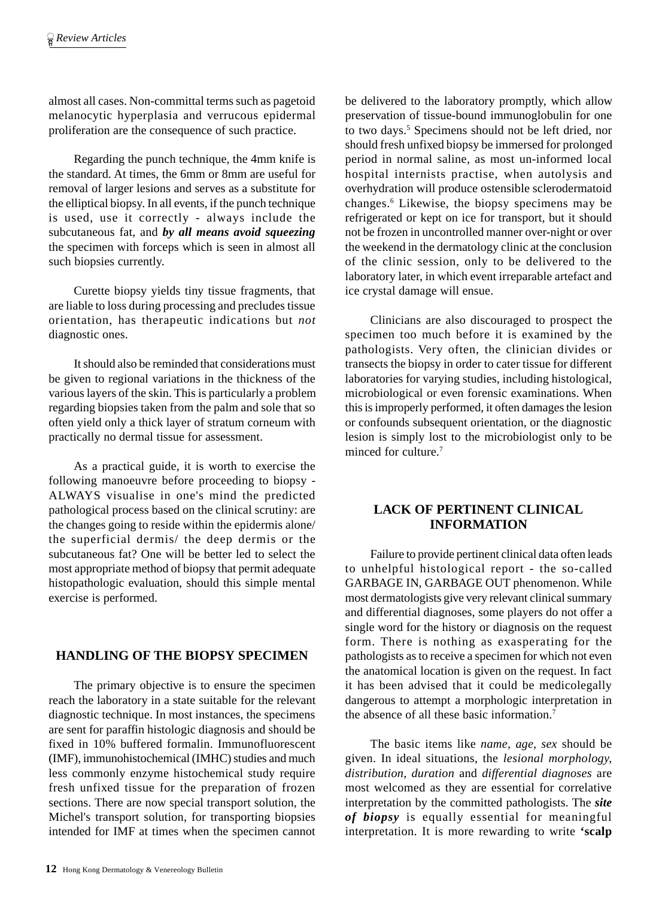almost all cases. Non-committal terms such as pagetoid melanocytic hyperplasia and verrucous epidermal proliferation are the consequence of such practice.

Regarding the punch technique, the 4mm knife is the standard. At times, the 6mm or 8mm are useful for removal of larger lesions and serves as a substitute for the elliptical biopsy. In all events, if the punch technique is used, use it correctly - always include the subcutaneous fat, and *by all means avoid squeezing* the specimen with forceps which is seen in almost all such biopsies currently.

Curette biopsy yields tiny tissue fragments, that are liable to loss during processing and precludes tissue orientation, has therapeutic indications but *not* diagnostic ones.

It should also be reminded that considerations must be given to regional variations in the thickness of the various layers of the skin. This is particularly a problem regarding biopsies taken from the palm and sole that so often yield only a thick layer of stratum corneum with practically no dermal tissue for assessment.

As a practical guide, it is worth to exercise the following manoeuvre before proceeding to biopsy - ALWAYS visualise in one's mind the predicted pathological process based on the clinical scrutiny: are the changes going to reside within the epidermis alone/ the superficial dermis/ the deep dermis or the subcutaneous fat? One will be better led to select the most appropriate method of biopsy that permit adequate histopathologic evaluation, should this simple mental exercise is performed.

#### **HANDLING OF THE BIOPSY SPECIMEN**

The primary objective is to ensure the specimen reach the laboratory in a state suitable for the relevant diagnostic technique. In most instances, the specimens are sent for paraffin histologic diagnosis and should be fixed in 10% buffered formalin. Immunofluorescent (IMF), immunohistochemical (IMHC) studies and much less commonly enzyme histochemical study require fresh unfixed tissue for the preparation of frozen sections. There are now special transport solution, the Michel's transport solution, for transporting biopsies intended for IMF at times when the specimen cannot

be delivered to the laboratory promptly, which allow preservation of tissue-bound immunoglobulin for one to two days.<sup>5</sup> Specimens should not be left dried, nor should fresh unfixed biopsy be immersed for prolonged period in normal saline, as most un-informed local hospital internists practise, when autolysis and overhydration will produce ostensible sclerodermatoid changes.6 Likewise, the biopsy specimens may be refrigerated or kept on ice for transport, but it should not be frozen in uncontrolled manner over-night or over the weekend in the dermatology clinic at the conclusion of the clinic session, only to be delivered to the laboratory later, in which event irreparable artefact and ice crystal damage will ensue.

Clinicians are also discouraged to prospect the specimen too much before it is examined by the pathologists. Very often, the clinician divides or transects the biopsy in order to cater tissue for different laboratories for varying studies, including histological, microbiological or even forensic examinations. When this is improperly performed, it often damages the lesion or confounds subsequent orientation, or the diagnostic lesion is simply lost to the microbiologist only to be minced for culture.7

#### **LACK OF PERTINENT CLINICAL INFORMATION**

Failure to provide pertinent clinical data often leads to unhelpful histological report - the so-called GARBAGE IN, GARBAGE OUT phenomenon. While most dermatologists give very relevant clinical summary and differential diagnoses, some players do not offer a single word for the history or diagnosis on the request form. There is nothing as exasperating for the pathologists as to receive a specimen for which not even the anatomical location is given on the request. In fact it has been advised that it could be medicolegally dangerous to attempt a morphologic interpretation in the absence of all these basic information.7

The basic items like *name, age, sex* should be given. In ideal situations, the *lesional morphology, distribution, duration* and *differential diagnoses* are most welcomed as they are essential for correlative interpretation by the committed pathologists. The *site of biopsy* is equally essential for meaningful interpretation. It is more rewarding to write **'scalp**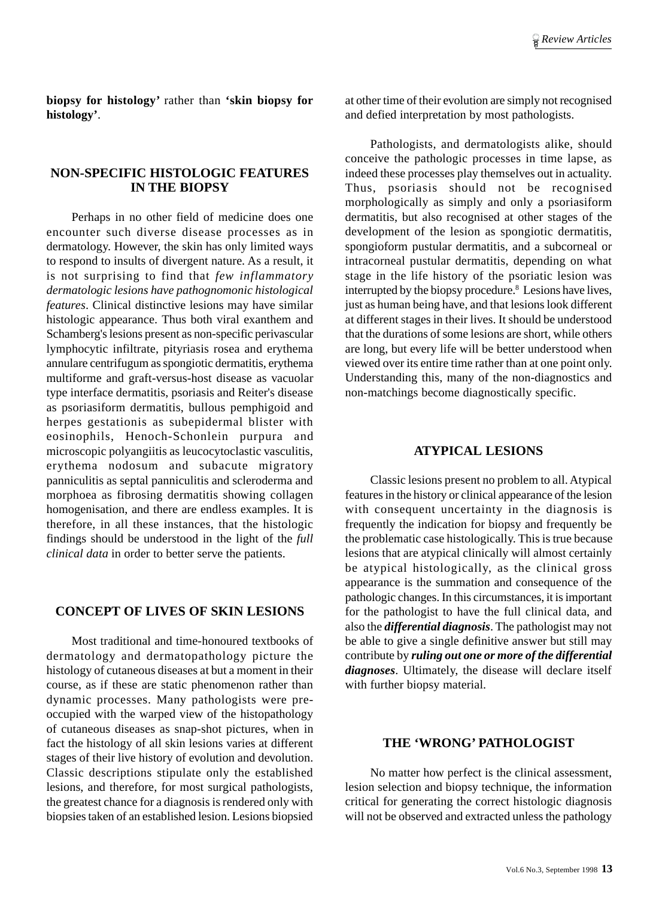**biopsy for histology'** rather than **'skin biopsy for histology'**.

#### **NON-SPECIFIC HISTOLOGIC FEATURES IN THE BIOPSY**

Perhaps in no other field of medicine does one encounter such diverse disease processes as in dermatology. However, the skin has only limited ways to respond to insults of divergent nature. As a result, it is not surprising to find that *few inflammatory dermatologic lesions have pathognomonic histological features*. Clinical distinctive lesions may have similar histologic appearance. Thus both viral exanthem and Schamberg's lesions present as non-specific perivascular lymphocytic infiltrate, pityriasis rosea and erythema annulare centrifugum as spongiotic dermatitis, erythema multiforme and graft-versus-host disease as vacuolar type interface dermatitis, psoriasis and Reiter's disease as psoriasiform dermatitis, bullous pemphigoid and herpes gestationis as subepidermal blister with eosinophils, Henoch-Schonlein purpura and microscopic polyangiitis as leucocytoclastic vasculitis, erythema nodosum and subacute migratory panniculitis as septal panniculitis and scleroderma and morphoea as fibrosing dermatitis showing collagen homogenisation, and there are endless examples. It is therefore, in all these instances, that the histologic findings should be understood in the light of the *full clinical data* in order to better serve the patients.

#### **CONCEPT OF LIVES OF SKIN LESIONS**

Most traditional and time-honoured textbooks of dermatology and dermatopathology picture the histology of cutaneous diseases at but a moment in their course, as if these are static phenomenon rather than dynamic processes. Many pathologists were preoccupied with the warped view of the histopathology of cutaneous diseases as snap-shot pictures, when in fact the histology of all skin lesions varies at different stages of their live history of evolution and devolution. Classic descriptions stipulate only the established lesions, and therefore, for most surgical pathologists, the greatest chance for a diagnosis is rendered only with biopsies taken of an established lesion. Lesions biopsied

at other time of their evolution are simply not recognised and defied interpretation by most pathologists.

Pathologists, and dermatologists alike, should conceive the pathologic processes in time lapse, as indeed these processes play themselves out in actuality. Thus, psoriasis should not be recognised morphologically as simply and only a psoriasiform dermatitis, but also recognised at other stages of the development of the lesion as spongiotic dermatitis, spongioform pustular dermatitis, and a subcorneal or intracorneal pustular dermatitis, depending on what stage in the life history of the psoriatic lesion was interrupted by the biopsy procedure.<sup>8</sup> Lesions have lives, just as human being have, and that lesions look different at different stages in their lives. It should be understood that the durations of some lesions are short, while others are long, but every life will be better understood when viewed over its entire time rather than at one point only. Understanding this, many of the non-diagnostics and non-matchings become diagnostically specific.

#### **ATYPICAL LESIONS**

Classic lesions present no problem to all. Atypical features in the history or clinical appearance of the lesion with consequent uncertainty in the diagnosis is frequently the indication for biopsy and frequently be the problematic case histologically. This is true because lesions that are atypical clinically will almost certainly be atypical histologically, as the clinical gross appearance is the summation and consequence of the pathologic changes. In this circumstances, it is important for the pathologist to have the full clinical data, and also the *differential diagnosis*. The pathologist may not be able to give a single definitive answer but still may contribute by *ruling out one or more of the differential diagnoses*. Ultimately, the disease will declare itself with further biopsy material.

#### **THE 'WRONG' PATHOLOGIST**

No matter how perfect is the clinical assessment, lesion selection and biopsy technique, the information critical for generating the correct histologic diagnosis will not be observed and extracted unless the pathology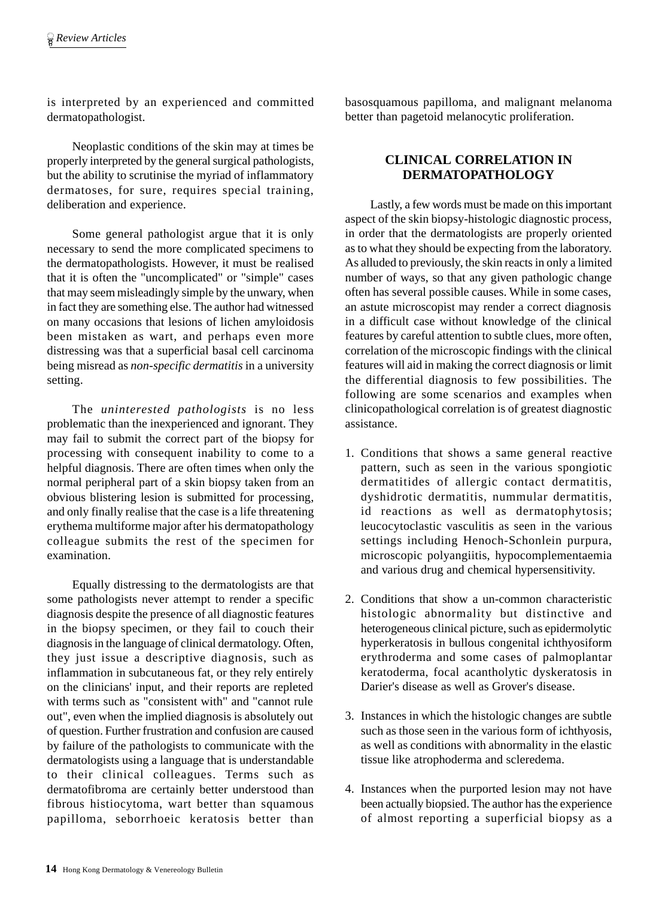is interpreted by an experienced and committed dermatopathologist.

Neoplastic conditions of the skin may at times be properly interpreted by the general surgical pathologists, but the ability to scrutinise the myriad of inflammatory dermatoses, for sure, requires special training, deliberation and experience.

Some general pathologist argue that it is only necessary to send the more complicated specimens to the dermatopathologists. However, it must be realised that it is often the "uncomplicated" or "simple" cases that may seem misleadingly simple by the unwary, when in fact they are something else. The author had witnessed on many occasions that lesions of lichen amyloidosis been mistaken as wart, and perhaps even more distressing was that a superficial basal cell carcinoma being misread as *non-specific dermatitis* in a university setting.

The *uninterested pathologists* is no less problematic than the inexperienced and ignorant. They may fail to submit the correct part of the biopsy for processing with consequent inability to come to a helpful diagnosis. There are often times when only the normal peripheral part of a skin biopsy taken from an obvious blistering lesion is submitted for processing, and only finally realise that the case is a life threatening erythema multiforme major after his dermatopathology colleague submits the rest of the specimen for examination.

Equally distressing to the dermatologists are that some pathologists never attempt to render a specific diagnosis despite the presence of all diagnostic features in the biopsy specimen, or they fail to couch their diagnosis in the language of clinical dermatology. Often, they just issue a descriptive diagnosis, such as inflammation in subcutaneous fat, or they rely entirely on the clinicians' input, and their reports are repleted with terms such as "consistent with" and "cannot rule out", even when the implied diagnosis is absolutely out of question. Further frustration and confusion are caused by failure of the pathologists to communicate with the dermatologists using a language that is understandable to their clinical colleagues. Terms such as dermatofibroma are certainly better understood than fibrous histiocytoma, wart better than squamous papilloma, seborrhoeic keratosis better than

basosquamous papilloma, and malignant melanoma better than pagetoid melanocytic proliferation.

### **CLINICAL CORRELATION IN DERMATOPATHOLOGY**

Lastly, a few words must be made on this important aspect of the skin biopsy-histologic diagnostic process, in order that the dermatologists are properly oriented as to what they should be expecting from the laboratory. As alluded to previously, the skin reacts in only a limited number of ways, so that any given pathologic change often has several possible causes. While in some cases, an astute microscopist may render a correct diagnosis in a difficult case without knowledge of the clinical features by careful attention to subtle clues, more often, correlation of the microscopic findings with the clinical features will aid in making the correct diagnosis or limit the differential diagnosis to few possibilities. The following are some scenarios and examples when clinicopathological correlation is of greatest diagnostic assistance.

- 1. Conditions that shows a same general reactive pattern, such as seen in the various spongiotic dermatitides of allergic contact dermatitis, dyshidrotic dermatitis, nummular dermatitis, id reactions as well as dermatophytosis; leucocytoclastic vasculitis as seen in the various settings including Henoch-Schonlein purpura, microscopic polyangiitis, hypocomplementaemia and various drug and chemical hypersensitivity.
- 2. Conditions that show a un-common characteristic histologic abnormality but distinctive and heterogeneous clinical picture, such as epidermolytic hyperkeratosis in bullous congenital ichthyosiform erythroderma and some cases of palmoplantar keratoderma, focal acantholytic dyskeratosis in Darier's disease as well as Grover's disease.
- 3. Instances in which the histologic changes are subtle such as those seen in the various form of ichthyosis, as well as conditions with abnormality in the elastic tissue like atrophoderma and scleredema.
- 4. Instances when the purported lesion may not have been actually biopsied. The author has the experience of almost reporting a superficial biopsy as a